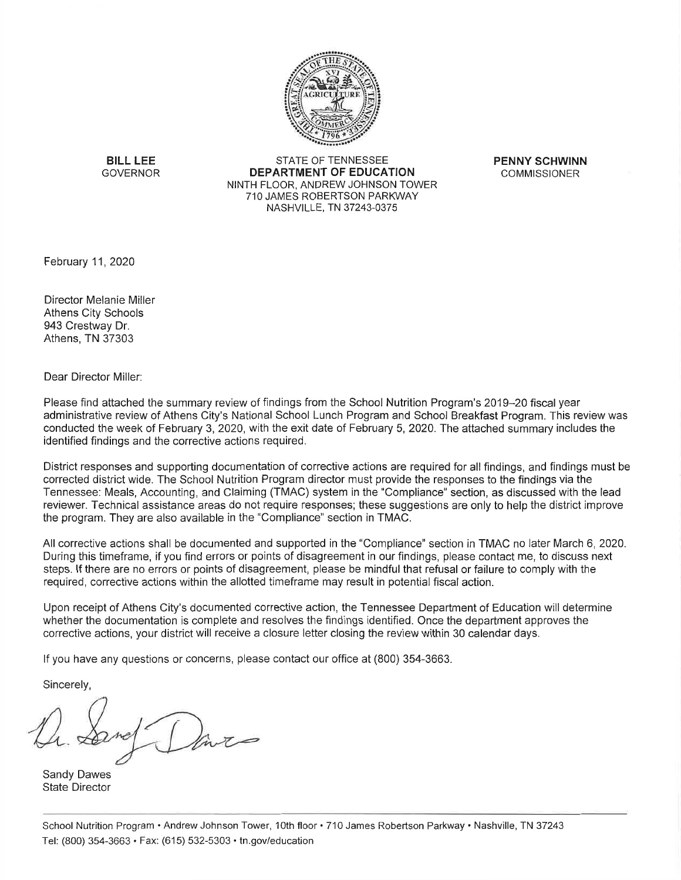

**BILL LEE GOVERNOR** 

STATE OF TENNESSEE **DEPARTMENT OF EDUCATION** NINTH FLOOR, ANDREW JOHNSON TOWER 710 JAMES ROBERTSON PARKWAY NASHVILLE, TN 37243-0375

**PENNY SCHWINN COMMISSIONER** 

February 11, 2020

Director Melanie Miller Athens City Schools 943 Crestway Dr. Athens, TN 37303

Dear Director Miller:

Please find attached the summary review of findings from the School Nutrition Program's 2019–20 fiscal year administrative review of Athens City's National School Lunch Program and School Breakfast Program. This review was conducted the week of February 3, 2020, with the exit date of February 5, 2020. The attached summary includes the identified findings and the corrective actions required.

District responses and supporting documentation of corrective actions are required for all findings, and findings must be corrected district wide. The School Nutrition Program director must provide the responses to the findings via the Tennessee: Meals, Accounting, and Claiming (TMAC) system in the "Compliance" section, as discussed with the lead reviewer. Technical assistance areas do not require responses; these suggestions are only to help the district improve the program. They are also available in the "Compliance" section in TMAC.

All corrective actions shall be documented and supported in the "Compliance" section in TMAC no later March 6, 2020. During this timeframe, if you find errors or points of disagreement in our findings, please contact me, to discuss next steps. If there are no errors or points of disagreement, please be mindful that refusal or failure to comply with the required, corrective actions within the allotted timeframe may result in potential fiscal action.

Upon receipt of Athens City's documented corrective action, the Tennessee Department of Education will determine whether the documentation is complete and resolves the findings identified. Once the department approves the corrective actions, your district will receive a closure letter closing the review within 30 calendar days.

If you have any questions or concerns, please contact our office at (800) 354-3663.

Sincerely,

**Sandy Dawes State Director**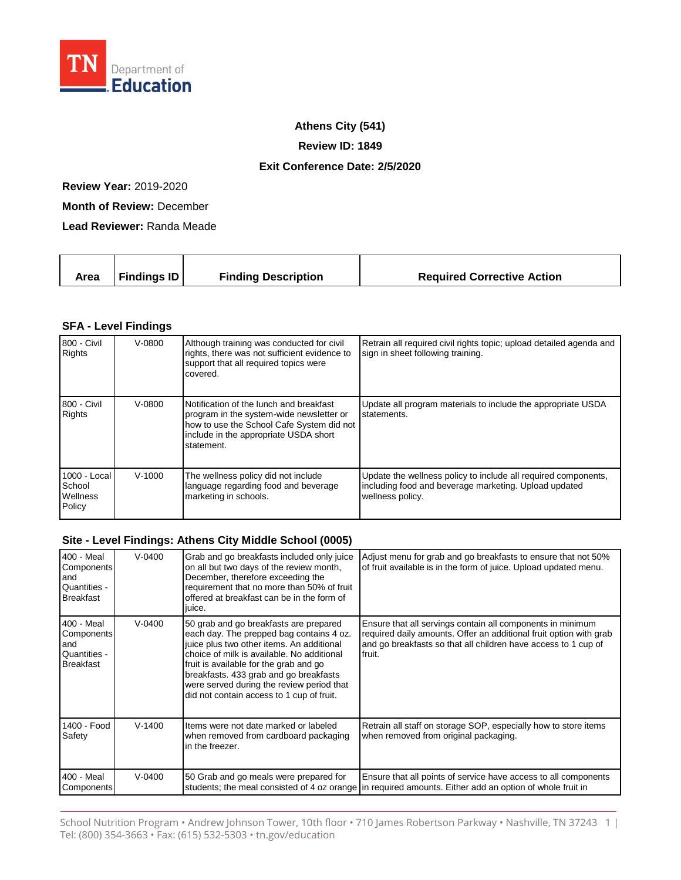

## **Athens City (541)**

**Review ID: 1849**

## **Exit Conference Date: 2/5/2020**

**Review Year:** 2019-2020

**Month of Review:** December

**Lead Reviewer:** Randa Meade

|  | Area | <b>Findings ID</b> | <b>Finding Description</b> | <b>Required Corrective Action</b> |
|--|------|--------------------|----------------------------|-----------------------------------|
|--|------|--------------------|----------------------------|-----------------------------------|

## **SFA - Level Findings**

| 800 - Civil<br><b>Rights</b>                 | $V - 0800$ | Although training was conducted for civil<br>rights, there was not sufficient evidence to<br>support that all required topics were<br>covered.                                          | Retrain all required civil rights topic; upload detailed agenda and<br>sign in sheet following training.                                    |
|----------------------------------------------|------------|-----------------------------------------------------------------------------------------------------------------------------------------------------------------------------------------|---------------------------------------------------------------------------------------------------------------------------------------------|
| 800 - Civil<br><b>Rights</b>                 | $V - 0800$ | Notification of the lunch and breakfast<br>program in the system-wide newsletter or<br>how to use the School Cafe System did not<br>include in the appropriate USDA short<br>statement. | Update all program materials to include the appropriate USDA<br>statements.                                                                 |
| 1000 - Local<br>School<br>Wellness<br>Policy | $V-1000$   | The wellness policy did not include<br>language regarding food and beverage<br>marketing in schools.                                                                                    | Update the wellness policy to include all required components,<br>including food and beverage marketing. Upload updated<br>wellness policy. |

## **Site - Level Findings: Athens City Middle School (0005)**

| 400 - Meal<br>Components<br>and<br>Quantities -<br><b>Breakfast</b> | $V - 0400$ | Grab and go breakfasts included only juice<br>on all but two days of the review month,<br>December, therefore exceeding the<br>requirement that no more than 50% of fruit<br>offered at breakfast can be in the form of<br>juice.                                                                                                                           | Adjust menu for grab and go breakfasts to ensure that not 50%<br>of fruit available is in the form of juice. Upload updated menu.                                                                            |
|---------------------------------------------------------------------|------------|-------------------------------------------------------------------------------------------------------------------------------------------------------------------------------------------------------------------------------------------------------------------------------------------------------------------------------------------------------------|--------------------------------------------------------------------------------------------------------------------------------------------------------------------------------------------------------------|
| 400 - Meal<br>Components<br>and<br>Quantities -<br><b>Breakfast</b> | $V - 0400$ | 50 grab and go breakfasts are prepared<br>each day. The prepped bag contains 4 oz.<br>juice plus two other items. An additional<br>choice of milk is available. No additional<br>fruit is available for the grab and go<br>breakfasts. 433 grab and go breakfasts<br>were served during the review period that<br>did not contain access to 1 cup of fruit. | Ensure that all servings contain all components in minimum<br>required daily amounts. Offer an additional fruit option with grab<br>and go breakfasts so that all children have access to 1 cup of<br>fruit. |
| 1400 - Food<br>Safety                                               | $V-1400$   | Items were not date marked or labeled<br>when removed from cardboard packaging<br>in the freezer.                                                                                                                                                                                                                                                           | Retrain all staff on storage SOP, especially how to store items<br>when removed from original packaging.                                                                                                     |
| 400 - Meal<br>Components                                            | $V-0400$   | 50 Grab and go meals were prepared for                                                                                                                                                                                                                                                                                                                      | Ensure that all points of service have access to all components<br>students; the meal consisted of 4 oz orange in required amounts. Either add an option of whole fruit in                                   |